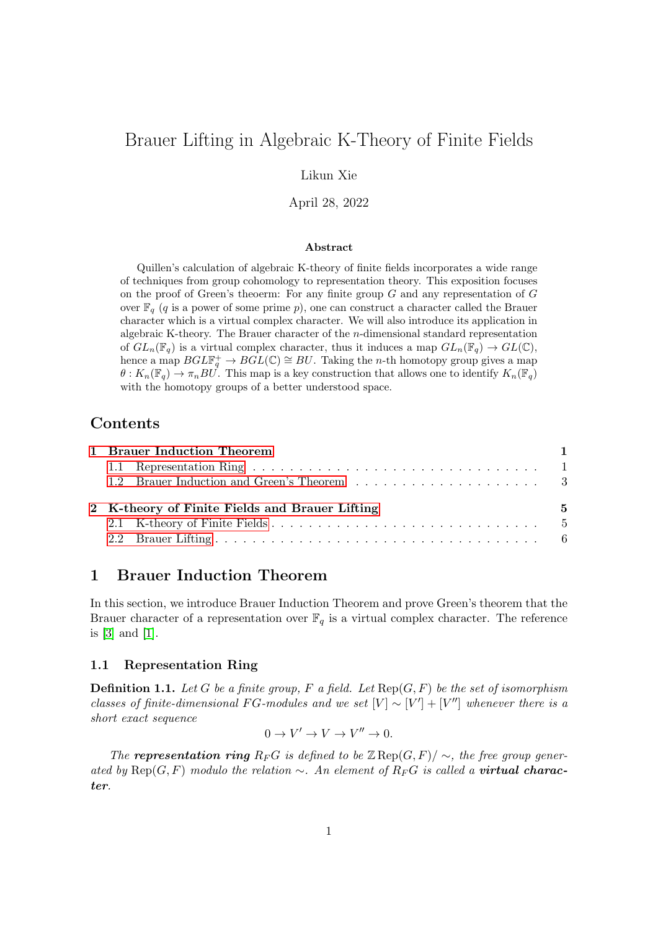# Brauer Lifting in Algebraic K-Theory of Finite Fields

Likun Xie

April 28, 2022

#### Abstract

Quillen's calculation of algebraic K-theory of finite fields incorporates a wide range of techniques from group cohomology to representation theory. This exposition focuses on the proof of Green's theoerm: For any finite group  $G$  and any representation of  $G$ over  $\mathbb{F}_q$  (q is a power of some prime p), one can construct a character called the Brauer character which is a virtual complex character. We will also introduce its application in algebraic K-theory. The Brauer character of the n-dimensional standard representation of  $GL_n(\mathbb{F}_q)$  is a virtual complex character, thus it induces a map  $GL_n(\mathbb{F}_q) \to GL(\mathbb{C}),$ hence a map  $BGL\mathbb{F}_q^+\to BGL(\mathbb{C})\cong BU$ . Taking the *n*-th homotopy group gives a map  $\theta: K_n(\mathbb{F}_q) \to \pi_n BU$ . This map is a key construction that allows one to identify  $K_n(\mathbb{F}_q)$ with the homotopy groups of a better understood space.

# Contents

| 1 Brauer Induction Theorem                     |  | $\mathbf{1}$ |
|------------------------------------------------|--|--------------|
|                                                |  |              |
|                                                |  |              |
| 2 K-theory of Finite Fields and Brauer Lifting |  | $\sqrt{5}$   |
|                                                |  |              |
|                                                |  |              |

## <span id="page-0-0"></span>1 Brauer Induction Theorem

In this section, we introduce Brauer Induction Theorem and prove Green's theorem that the Brauer character of a representation over  $\mathbb{F}_q$  is a virtual complex character. The reference is [\[3\]](#page-5-1) and [\[1\]](#page-5-2).

### <span id="page-0-1"></span>1.1 Representation Ring

**Definition 1.1.** Let G be a finite group, F a field. Let  $\text{Rep}(G, F)$  be the set of isomorphism classes of finite-dimensional FG-modules and we set  $[V] \sim [V'] + [V'']$  whenever there is a short exact sequence

$$
0 \to V' \to V \to V'' \to 0.
$$

The representation ring  $R_F G$  is defined to be  $\mathbb{Z}$ Rep( $G, F$ )  $\sim$ , the free group generated by Rep( $G, F$ ) modulo the relation ∼. An element of R<sub>F</sub>G is called a **virtual charac**ter.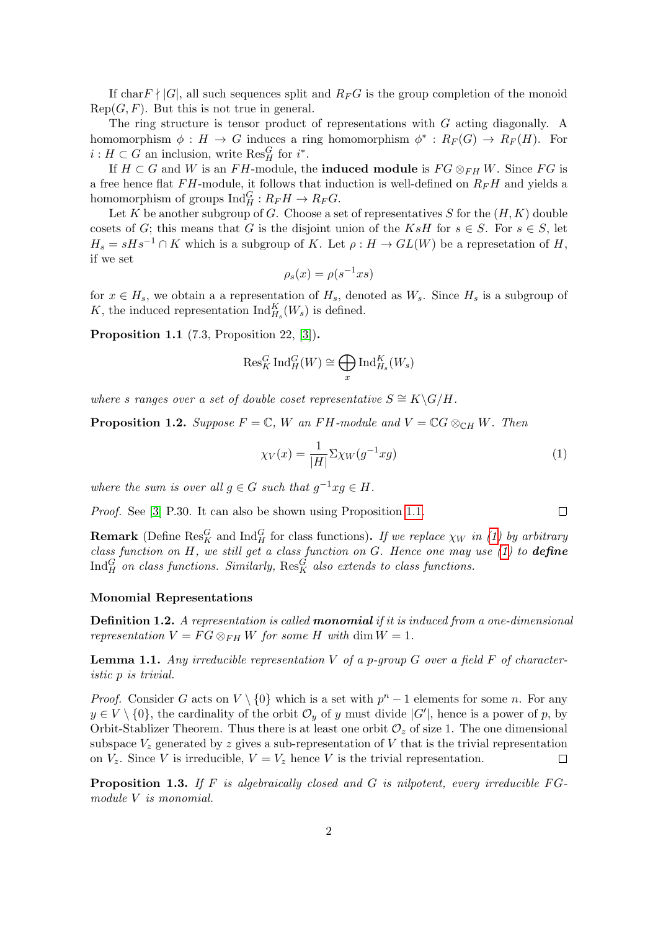If charF  $\nmid |G|$ , all such sequences split and  $R_F$ G is the group completion of the monoid  $Rep(G, F)$ . But this is not true in general.

The ring structure is tensor product of representations with G acting diagonally. A homomorphism  $\phi: H \to G$  induces a ring homomorphism  $\phi^*: R_F(G) \to R_F(H)$ . For  $i: H \subset G$  an inclusion, write  $\text{Res}_{H}^{G}$  for  $i^{*}$ .

If  $H \subset G$  and W is an FH-module, the **induced module** is  $FG \otimes_{FH} W$ . Since FG is a free hence flat  $FH$ -module, it follows that induction is well-defined on  $R_F H$  and yields a homomorphism of groups  $\text{Ind}_{H}^{G}: R_{F}H \to R_{F}G$ .

Let K be another subgroup of G. Choose a set of representatives S for the  $(H, K)$  double cosets of G; this means that G is the disjoint union of the KsH for  $s \in S$ . For  $s \in S$ , let  $H_s = sHs^{-1} \cap K$  which is a subgroup of K. Let  $\rho : H \to GL(W)$  be a represetation of H, if we set

$$
\rho_s(x) = \rho(s^{-1}xs)
$$

for  $x \in H_s$ , we obtain a a representation of  $H_s$ , denoted as  $W_s$ . Since  $H_s$  is a subgroup of K, the induced representation  $\text{Ind}_{H_s}^K(W_s)$  is defined.

<span id="page-1-0"></span>Proposition 1.1 (7.3, Proposition 22, [\[3\]](#page-5-1)).

$$
\mathrm{Res}^G_K\,\mathrm{Ind}^G_H(W)\cong\bigoplus_x\mathrm{Ind}^K_{H_s}(W_s)
$$

where s ranges over a set of double coset representative  $S \cong K\backslash G/H$ .

**Proposition 1.2.** Suppose  $F = \mathbb{C}$ , W an FH-module and  $V = \mathbb{C}G \otimes_{\mathbb{C}H} W$ . Then

$$
\chi_V(x) = \frac{1}{|H|} \Sigma \chi_W(g^{-1}xg) \tag{1}
$$

where the sum is over all  $g \in G$  such that  $g^{-1}xg \in H$ .

Proof. See [\[3\]](#page-5-1) P.30. It can also be shown using Proposition [1.1.](#page-1-0)

**Remark** (Define  $\text{Res}_{K}^{G}$  and  $\text{Ind}_{H}^{G}$  for class functions). If we replace  $\chi_{W}$  in [\(1\)](#page-1-1) by arbitrary class function on H, we still get a class function on G. Hence one may use  $(1)$  to **define**  ${\rm Ind}_{H}^{G}$  on class functions. Similarly,  ${\rm Res}^G_K$  also extends to class functions.

#### Monomial Representations

**Definition 1.2.** A representation is called **monomial** if it is induced from a one-dimensional representation  $V = FG \otimes_{FH} W$  for some H with dim  $W = 1$ .

<span id="page-1-2"></span>**Lemma 1.1.** Any irreducible representation V of a p-group G over a field F of characteristic p is trivial.

*Proof.* Consider G acts on  $V \setminus \{0\}$  which is a set with  $p^{n} - 1$  elements for some n. For any  $y \in V \setminus \{0\}$ , the cardinality of the orbit  $\mathcal{O}_y$  of y must divide  $|G'|$ , hence is a power of p, by Orbit-Stablizer Theorem. Thus there is at least one orbit  $\mathcal{O}_z$  of size 1. The one dimensional subspace  $V_z$  generated by z gives a sub-representation of V that is the trivial representation on  $V_z$ . Since V is irreducible,  $V = V_z$  hence V is the trivial representation.  $\Box$ 

<span id="page-1-3"></span>**Proposition 1.3.** If F is algebraically closed and G is nilpotent, every irreducible FGmodule V is monomial.

<span id="page-1-1"></span> $\Box$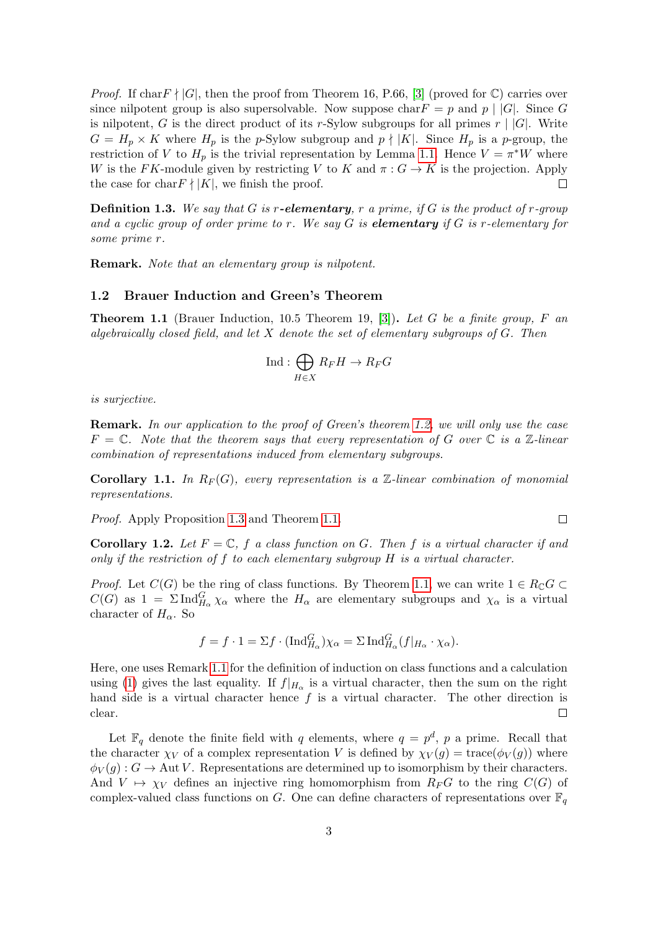*Proof.* If char $F \nmid |G|$ , then the proof from Theorem 16, P.66, [\[3\]](#page-5-1) (proved for  $\mathbb{C}$ ) carries over since nilpotent group is also supersolvable. Now suppose char $F = p$  and  $p \mid |G|$ . Since G is nilpotent, G is the direct product of its r-Sylow subgroups for all primes  $r \mid |G|$ . Write  $G = H_p \times K$  where  $H_p$  is the p-Sylow subgroup and  $p \nmid |K|$ . Since  $H_p$  is a p-group, the restriction of V to  $H_p$  is the trivial representation by Lemma [1.1.](#page-1-2) Hence  $V = \pi^*W$  where W is the FK-module given by restricting V to K and  $\pi: G \to K$  is the projection. Apply the case for char $F \nmid |K|$ , we finish the proof.  $\Box$ 

<span id="page-2-2"></span>**Definition 1.3.** We say that G is r-elementary, r a prime, if G is the product of r-group and a cyclic group of order prime to r. We say  $G$  is **elementary** if  $G$  is r-elementary for some prime r.

Remark. Note that an elementary group is nilpotent.

### <span id="page-2-0"></span>1.2 Brauer Induction and Green's Theorem

<span id="page-2-1"></span>**Theorem 1.1** (Brauer Induction, 10.5 Theorem 19, [\[3\]](#page-5-1)). Let G be a finite group, F an algebraically closed field, and let  $X$  denote the set of elementary subgroups of  $G$ . Then

$$
\operatorname{Ind}:\bigoplus_{H\in X}R_F H\to R_F G
$$

is surjective.

Remark. In our application to the proof of Green's theorem [1.2,](#page-3-0) we will only use the case  $F = \mathbb{C}$ . Note that the theorem says that every representation of G over  $\mathbb{C}$  is a  $\mathbb{Z}$ -linear combination of representations induced from elementary subgroups.

**Corollary 1.1.** In  $R_F(G)$ , every representation is a Z-linear combination of monomial representations.

Proof. Apply Proposition [1.3](#page-1-3) and Theorem [1.1.](#page-2-1)

<span id="page-2-3"></span>**Corollary 1.2.** Let  $F = \mathbb{C}$ , f a class function on G. Then f is a virtual character if and only if the restriction of f to each elementary subgroup  $H$  is a virtual character.

*Proof.* Let  $C(G)$  be the ring of class functions. By Theorem [1.1,](#page-2-1) we can write  $1 \in R_{\mathbb{C}}G$  $C(G)$  as  $1 = \Sigma \text{Ind}_{H_{\alpha}}^G \chi_{\alpha}$  where the  $H_{\alpha}$  are elementary subgroups and  $\chi_{\alpha}$  is a virtual character of  $H_{\alpha}$ . So

$$
f = f \cdot 1 = \Sigma f \cdot (\operatorname{Ind}_{H_{\alpha}}^G) \chi_{\alpha} = \Sigma \operatorname{Ind}_{H_{\alpha}}^G (f|_{H_{\alpha}} \cdot \chi_{\alpha}).
$$

Here, one uses Remark [1.1](#page-1-1) for the definition of induction on class functions and a calculation using [\(1\)](#page-1-1) gives the last equality. If  $f|_{H_{\alpha}}$  is a virtual character, then the sum on the right hand side is a virtual character hence  $f$  is a virtual character. The other direction is clear.  $\Box$ 

Let  $\mathbb{F}_q$  denote the finite field with q elements, where  $q = p^d$ , p a prime. Recall that the character  $\chi_V$  of a complex representation V is defined by  $\chi_V(g) = \text{trace}(\phi_V(g))$  where  $\phi_V(q): G \to \text{Aut } V$ . Representations are determined up to isomorphism by their characters. And  $V \mapsto \chi_V$  defines an injective ring homomorphism from  $R_FG$  to the ring  $C(G)$  of complex-valued class functions on G. One can define characters of representations over  $\mathbb{F}_q$ 

 $\Box$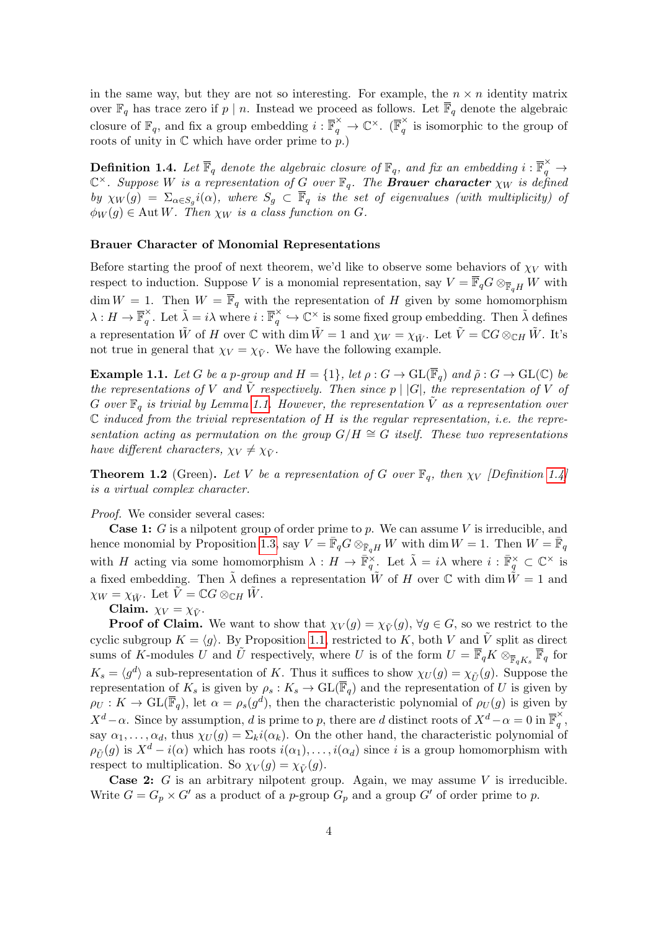in the same way, but they are not so interesting. For example, the  $n \times n$  identity matrix over  $\mathbb{F}_q$  has trace zero if p | n. Instead we proceed as follows. Let  $\overline{\mathbb{F}}_q$  denote the algebraic closure of  $\mathbb{F}_q$ , and fix a group embedding  $i : \overline{\mathbb{F}}_q^{\times} \to \mathbb{C}^{\times}$ .  $(\overline{\mathbb{F}}_q^{\times})$  $\hat{q}$  is isomorphic to the group of roots of unity in  $\mathbb C$  which have order prime to  $p$ .)

<span id="page-3-1"></span>**Definition 1.4.** Let  $\overline{\mathbb{F}}_q$  denote the algebraic closure of  $\mathbb{F}_q$ , and fix an embedding  $i : \overline{\mathbb{F}}_q^{\times} \to$  $\mathbb{C}^\times$ . Suppose W is a representation of G over  $\mathbb{F}_q$ . The **Brauer character**  $\chi_W$  is defined by  $\chi_W(g) = \sum_{\alpha \in S_g} i(\alpha)$ , where  $S_g \subset \overline{\mathbb{F}}_q$  is the set of eigenvalues (with multiplicity) of  $\phi_W(g) \in \text{Aut } W$ . Then  $\chi_W$  is a class function on G.

#### Brauer Character of Monomial Representations

Before starting the proof of next theorem, we'd like to observe some behaviors of  $\chi_V$  with respect to induction. Suppose V is a monomial representation, say  $V = \mathbb{F}_q G \otimes_{\mathbb{F}_{q}H} W$  with  $\dim W = 1$ . Then  $W = \overline{\mathbb{F}}_q$  with the representation of H given by some homomorphism  $\lambda: H \to \overline{\mathbb{F}}_q^{\times}$  $\mathbb{F}_{q}^{\times}$ . Let  $\tilde{\lambda} = i\lambda$  where  $i : \overline{\mathbb{F}}_{q}^{\times}$  $q^{\times}$   $\hookrightarrow$   $\mathbb{C}^{\times}$  is some fixed group embedding. Then  $\tilde{\lambda}$  defines a representation  $\tilde{W}$  of H over  $\mathbb C$  with dim  $\tilde{W} = 1$  and  $\chi_W = \chi_{\tilde{W}}$ . Let  $\tilde{V} = \mathbb C G \otimes_{\mathbb C} H \tilde{W}$ . It's not true in general that  $\chi_V = \chi_{\tilde{V}}$ . We have the following example.

**Example 1.1.** Let G be a p-group and  $H = \{1\}$ , let  $\rho : G \to \text{GL}(\overline{\mathbb{F}}_q)$  and  $\tilde{\rho} : G \to \text{GL}(\mathbb{C})$  be the representations of V and  $\tilde{V}$  respectively. Then since p | |G|, the representation of V of G over  $\mathbb{F}_q$  is trivial by Lemma [1.1.](#page-1-2) However, the representation  $\tilde{V}$  as a representation over  $\mathbb C$  induced from the trivial representation of H is the regular representation, i.e. the representation acting as permutation on the group  $G/H \cong G$  itself. These two representations have different characters,  $\chi_V \neq \chi_{\tilde{V}}$ .

<span id="page-3-0"></span>**Theorem 1.2** (Green). Let V be a representation of G over  $\mathbb{F}_q$ , then  $\chi_V$  [Definition [1.4\]](#page-3-1) is a virtual complex character.

Proof. We consider several cases:

**Case 1:** G is a nilpotent group of order prime to p. We can assume V is irreducible, and hence monomial by Proposition [1.3,](#page-1-3) say  $V = \overline{\mathbb{F}}_q G \otimes_{\overline{\mathbb{F}}_q H} W$  with  $\dim W = 1$ . Then  $W = \overline{\mathbb{F}}_q$ with H acting via some homomorphism  $\lambda: H \to \overline{\mathbb{F}}_q^{\times}$ . Let  $\tilde{\lambda} = i\lambda$  where  $i: \overline{\mathbb{F}}_q^{\times} \subset \mathbb{C}^{\times}$  is a fixed embedding. Then  $\tilde{\lambda}$  defines a representation  $\tilde{W}$  of H over C with dim  $\tilde{W} = 1$  and  $\chi_W = \chi_{\tilde{W}}$ . Let  $V = \mathbb{C} G \otimes_{\mathbb{C} H} W$ .

Claim.  $\chi_V = \chi_{\tilde{V}}$ .

**Proof of Claim.** We want to show that  $\chi_V(g) = \chi_{\tilde{V}}(g)$ ,  $\forall g \in G$ , so we restrict to the cyclic subgroup  $K = \langle g \rangle$ . By Proposition [1.1,](#page-1-0) restricted to K, both V and  $\tilde{V}$  split as direct sums of K-modules U and U respectively, where U is of the form  $U = \overline{\mathbb{F}}_q K \otimes_{\overline{\mathbb{F}}_q K_s} \overline{\mathbb{F}}_q$  for  $K_s = \langle g^d \rangle$  a sub-representation of K. Thus it suffices to show  $\chi_U(g) = \chi_{\tilde{U}}(g)$ . Suppose the representation of  $K_s$  is given by  $\rho_s: K_s \to GL(\overline{\mathbb{F}}_q)$  and the representation of U is given by  $\rho_U: K \to \text{GL}(\overline{\mathbb{F}}_q)$ , let  $\alpha = \rho_s(g^d)$ , then the characteristic polynomial of  $\rho_U(g)$  is given by  $X^d-\alpha$ . Since by assumption, d is prime to p, there are d distinct roots of  $X^d-\alpha=0$  in  $\overline{\mathbb{F}}_q^{\times}$  $\frac{1}{q}$ , say  $\alpha_1, \ldots, \alpha_d$ , thus  $\chi_U(g) = \Sigma_k i(\alpha_k)$ . On the other hand, the characteristic polynomial of  $\rho_{\tilde{U}}(g)$  is  $X^d - i(\alpha)$  which has roots  $i(\alpha_1), \ldots, i(\alpha_d)$  since i is a group homomorphism with respect to multiplication. So  $\chi_V(g) = \chi_{\tilde{V}}(g)$ .

**Case 2:** G is an arbitrary nilpotent group. Again, we may assume  $V$  is irreducible. Write  $G = G_p \times G'$  as a product of a p-group  $G_p$  and a group  $G'$  of order prime to p.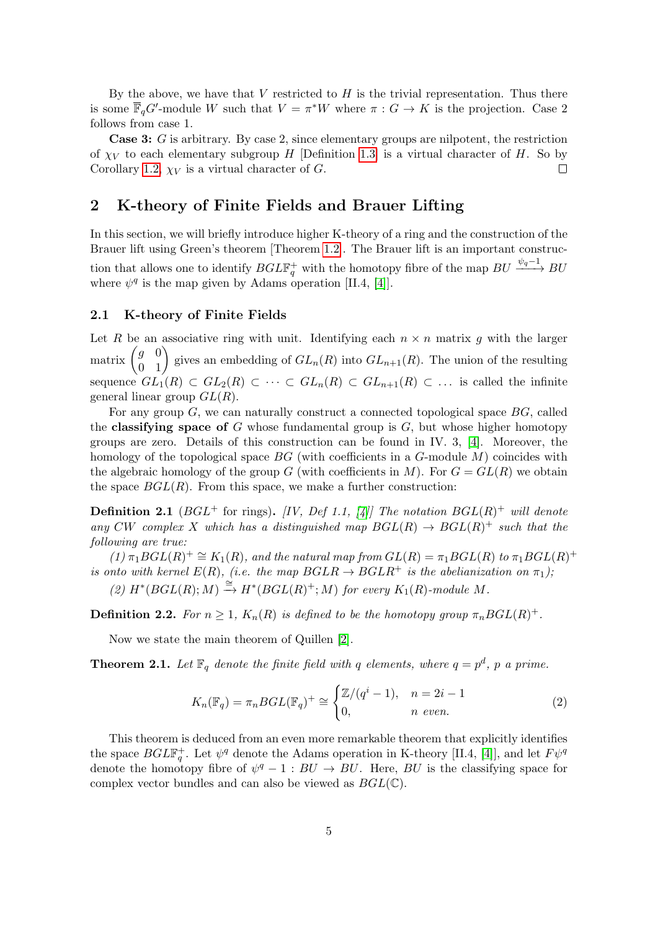By the above, we have that  $V$  restricted to  $H$  is the trivial representation. Thus there is some  $\overline{\mathbb{F}}_qG'$ -module W such that  $V = \pi^*W$  where  $\pi: G \to K$  is the projection. Case 2 follows from case 1.

Case 3: G is arbitrary. By case 2, since elementary groups are nilpotent, the restriction of  $\chi_V$  to each elementary subgroup H [Definition [1.3\]](#page-2-2) is a virtual character of H. So by Corollary [1.2,](#page-2-3)  $\chi_V$  is a virtual character of G.  $\Box$ 

# <span id="page-4-0"></span>2 K-theory of Finite Fields and Brauer Lifting

In this section, we will briefly introduce higher K-theory of a ring and the construction of the Brauer lift using Green's theorem [Theorem [1.2\]](#page-3-0). The Brauer lift is an important construction that allows one to identify  $BGL\mathbb{F}_q^+$  with the homotopy fibre of the map  $BU \xrightarrow{\psi_q-1} BU$ where  $\psi^q$  is the map given by Adams operation [II.4, [\[4\]](#page-5-3)].

#### <span id="page-4-1"></span>2.1 K-theory of Finite Fields

Let R be an associative ring with unit. Identifying each  $n \times n$  matrix g with the larger matrix  $\begin{pmatrix} g & 0 \\ 0 & 1 \end{pmatrix}$  gives an embedding of  $GL_n(R)$  into  $GL_{n+1}(R)$ . The union of the resulting sequence  $GL_1(R) \subset GL_2(R) \subset \cdots \subset GL_n(R) \subset GL_{n+1}(R) \subset \cdots$  is called the infinite general linear group  $GL(R)$ .

For any group G, we can naturally construct a connected topological space BG, called the classifying space of G whose fundamental group is  $G$ , but whose higher homotopy groups are zero. Details of this construction can be found in IV. 3, [\[4\]](#page-5-3). Moreover, the homology of the topological space  $BG$  (with coefficients in a  $G$ -module  $M$ ) coincides with the algebraic homology of the group G (with coefficients in M). For  $G = GL(R)$  we obtain the space  $BGL(R)$ . From this space, we make a further construction:

**Definition 2.1** ( $BGL^+$  for rings). [IV, Def 1.1, [\[4\]](#page-5-3)] The notation  $BGL(R)^+$  will denote any CW complex X which has a distinguished map  $BGL(R) \to BGL(R)^+$  such that the following are true:

 $(1) \pi_1 BGL(R)^+ \cong K_1(R)$ , and the natural map from  $GL(R) = \pi_1 BGL(R)$  to  $\pi_1 BGL(R)^+$ is onto with kernel  $E(R)$ , (i.e. the map  $BGLR \to BGLR^+$  is the abelianization on  $\pi_1$ ); (2)  $H^*(BGL(R); M) \stackrel{\cong}{\rightarrow} H^*(BGL(R)^+; M)$  for every  $K_1(R)$ -module M.

**Definition 2.2.** For  $n \geq 1$ ,  $K_n(R)$  is defined to be the homotopy group  $\pi_n BGL(R)^+$ .

Now we state the main theorem of Quillen [\[2\]](#page-5-4).

**Theorem 2.1.** Let  $\mathbb{F}_q$  denote the finite field with q elements, where  $q = p^d$ , p a prime.

$$
K_n(\mathbb{F}_q) = \pi_n BGL(\mathbb{F}_q)^+ \cong \begin{cases} \mathbb{Z}/(q^i - 1), & n = 2i - 1 \\ 0, & n \text{ even.} \end{cases} \tag{2}
$$

This theorem is deduced from an even more remarkable theorem that explicitly identifies the space  $BGL\mathbb{F}_q^+$ . Let  $\psi^q$  denote the Adams operation in K-theory [II.4, [\[4\]](#page-5-3)], and let  $F\psi^q$ denote the homotopy fibre of  $\psi^q - 1 : BU \to BU$ . Here, BU is the classifying space for complex vector bundles and can also be viewed as  $BGL(\mathbb{C})$ .